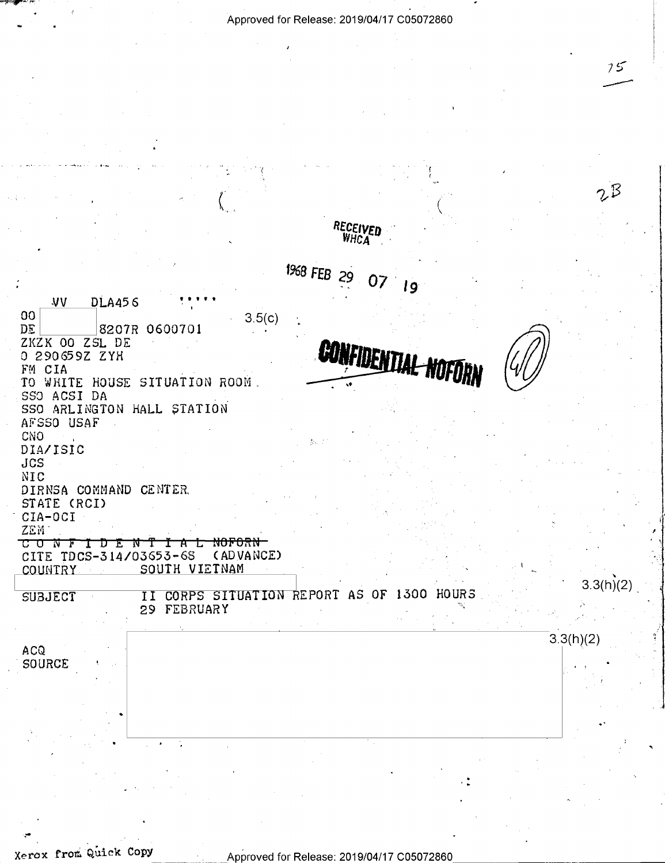$75$ 

 $2^{\circ}$ RECEIVED **WHCA** 1968 FEB 29  $07<sub>19</sub>$ **VV DLA456**  $00$  $3.5(c)$ 8207R 0600701 DE **CONFIDENTIAL NOFORN** ZKZK OO ZSL DE 0 290659Z ZYH FM CIA TO WHITE HOUSE SITUATION ROOM. SSO ACSI DA SSO ARLINGTON HALL STATION AFSSO USAF CNO DIA/ISIC  $JCS$ NIC DIRNSA COMMAND CENTER. STATE (RCI) CIA-OCI ZEM. CITE TDCS-314/03653-68 (ADVANCE) SOUTH VIETNAM COUNTRY  $3.3(h)(2)$ II CORPS SITUATION REPORT AS OF 1300 HOURS **SUBJECT** 29 FEBRUARY  $3.3(h)(2)$ ACQ SOURCE